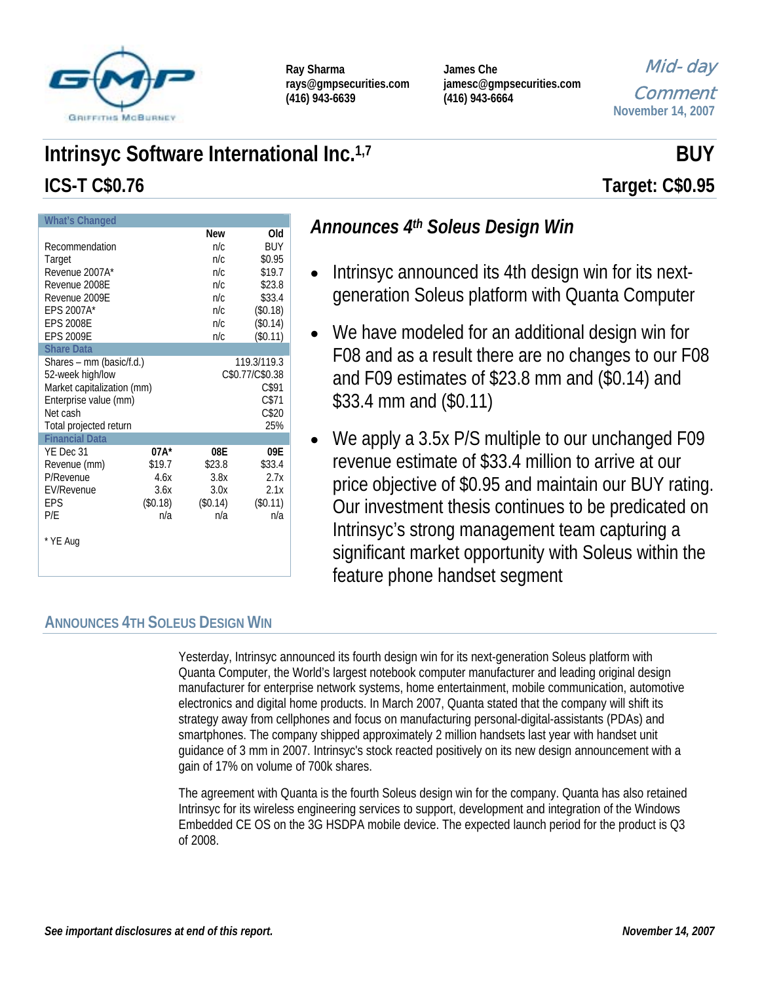

| Ray Sharma             |
|------------------------|
| rays@gmpsecurities.com |
| $(416)$ 943-6639       |

**James Che jamesc@gmpsecurities.com (416) 943-6664** 

Mid-day Comment

**November 14, 2007**

# **Intrinsyc Software International Inc.**<sup>1,7</sup> **BUY BUY**

| <b>What's Changed</b>                                                                                                                     |                                                                  |                                                                    |                                                                                        |  |  |
|-------------------------------------------------------------------------------------------------------------------------------------------|------------------------------------------------------------------|--------------------------------------------------------------------|----------------------------------------------------------------------------------------|--|--|
| Recommendation<br>Target<br>Revenue 2007A*<br>Revenue 2008E<br>Revenue 2009E<br>EPS 2007A*<br><b>EPS 2008E</b><br><b>EPS 2009E</b>        |                                                                  | <b>New</b><br>n/c<br>n/c<br>n/c<br>n/c<br>n/c<br>n/c<br>n/c<br>n/c | Old<br>BUY<br>\$0.95<br>\$19.7<br>\$23.8<br>\$33.4<br>(\$0.18)<br>(\$0.14)<br>(\$0.11) |  |  |
| <b>Share Data</b>                                                                                                                         |                                                                  |                                                                    |                                                                                        |  |  |
| Shares – mm (basic/f.d.)<br>52-week high/low<br>Market capitalization (mm)<br>Enterprise value (mm)<br>Net cash<br>Total projected return | 119.3/119.3<br>C\$0.77/C\$0.38<br>C\$91<br>C\$71<br>C\$20<br>25% |                                                                    |                                                                                        |  |  |
| <b>Financial Data</b>                                                                                                                     |                                                                  |                                                                    |                                                                                        |  |  |
| YE Dec 31<br>Revenue (mm)<br>P/Revenue<br><b>EV/Revenue</b><br>EPS<br>P/E<br>* YE Aug                                                     | 07A*<br>\$19.7<br>4.6x<br>3.6x<br>(\$0.18)<br>n/a                | 08E<br>\$23.8<br>3.8x<br>3.0x<br>(\$0.14)<br>n/a                   | 09E<br>\$33.4<br>2.7x<br>2.1x<br>(\$0.11)<br>n/a                                       |  |  |

# *Announces 4th Soleus Design Win*

- Intrinsyc announced its 4th design win for its nextgeneration Soleus platform with Quanta Computer
- We have modeled for an additional design win for F08 and as a result there are no changes to our F08 and F09 estimates of \$23.8 mm and (\$0.14) and \$33.4 mm and (\$0.11)
- We apply a 3.5x P/S multiple to our unchanged F09 revenue estimate of \$33.4 million to arrive at our price objective of \$0.95 and maintain our BUY rating. Our investment thesis continues to be predicated on Intrinsyc's strong management team capturing a significant market opportunity with Soleus within the feature phone handset segment

# **ANNOUNCES 4TH SOLEUS DESIGN WIN**

Yesterday, Intrinsyc announced its fourth design win for its next-generation Soleus platform with Quanta Computer, the World's largest notebook computer manufacturer and leading original design manufacturer for enterprise network systems, home entertainment, mobile communication, automotive electronics and digital home products. In March 2007, Quanta stated that the company will shift its strategy away from cellphones and focus on manufacturing personal-digital-assistants (PDAs) and smartphones. The company shipped approximately 2 million handsets last year with handset unit guidance of 3 mm in 2007. Intrinsyc's stock reacted positively on its new design announcement with a gain of 17% on volume of 700k shares.

The agreement with Quanta is the fourth Soleus design win for the company. Quanta has also retained Intrinsyc for its wireless engineering services to support, development and integration of the Windows Embedded CE OS on the 3G HSDPA mobile device. The expected launch period for the product is Q3 of 2008.

**ICS-T C\$0.76 Target: C\$0.95**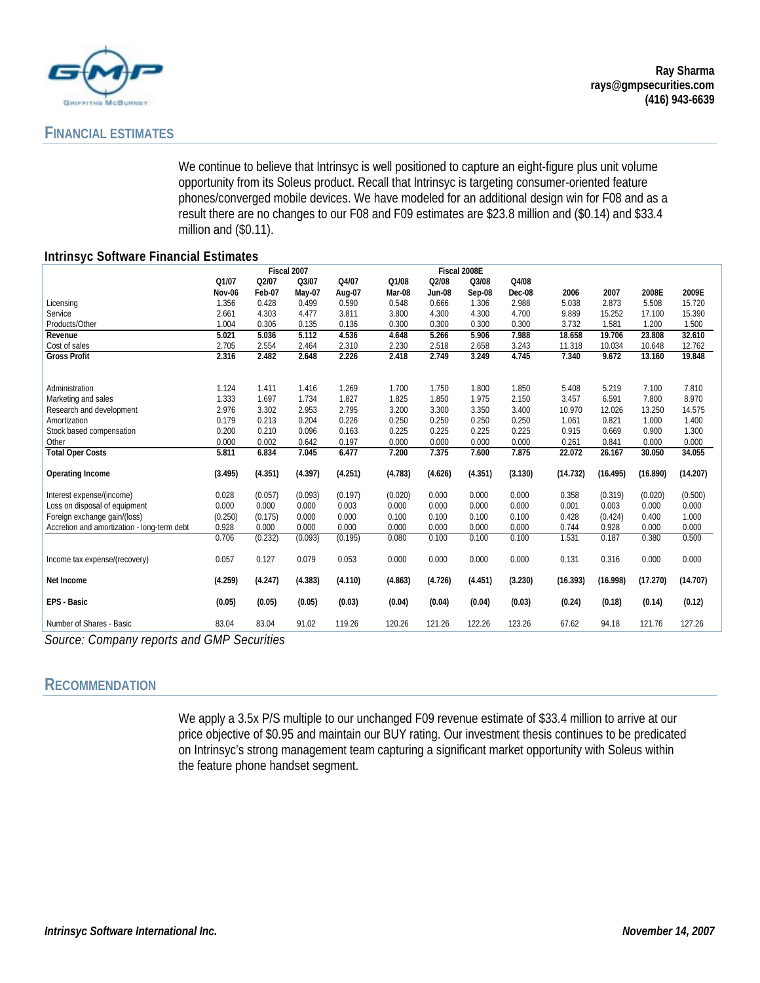

## **FINANCIAL ESTIMATES**

We continue to believe that Intrinsyc is well positioned to capture an eight-figure plus unit volume opportunity from its Soleus product. Recall that Intrinsyc is targeting consumer-oriented feature phones/converged mobile devices. We have modeled for an additional design win for F08 and as a result there are no changes to our F08 and F09 estimates are \$23.8 million and (\$0.14) and \$33.4 million and (\$0.11).

### **Intrinsyc Software Financial Estimates**

|                                             | Fiscal 2007 |         |         |         |         | Fiscal 2008E  |         |         |          |          |          |          |
|---------------------------------------------|-------------|---------|---------|---------|---------|---------------|---------|---------|----------|----------|----------|----------|
|                                             | Q1/07       | Q2/07   | Q3/07   | Q4/07   | Q1/08   | Q2/08         | Q3/08   | Q4/08   |          |          |          |          |
|                                             | Nov-06      | Feb-07  | May-07  | Aug-07  | Mar-08  | <b>Jun-08</b> | Sep-08  | Dec-08  | 2006     | 2007     | 2008E    | 2009E    |
| Licensing                                   | 1.356       | 0.428   | 0.499   | 0.590   | 0.548   | 0.666         | 1.306   | 2.988   | 5.038    | 2.873    | 5.508    | 15.720   |
| Service                                     | 2.661       | 4.303   | 4.477   | 3.811   | 3.800   | 4.300         | 4.300   | 4.700   | 9.889    | 15.252   | 17.100   | 15.390   |
| Products/Other                              | 1.004       | 0.306   | 0.135   | 0.136   | 0.300   | 0.300         | 0.300   | 0.300   | 3.732    | 1.581    | 1.200    | 1.500    |
| Revenue                                     | 5.021       | 5.036   | 5.112   | 4.536   | 4.648   | 5.266         | 5.906   | 7.988   | 18.658   | 19.706   | 23.808   | 32.610   |
| Cost of sales                               | 2.705       | 2.554   | 2.464   | 2.310   | 2.230   | 2.518         | 2.658   | 3.243   | 11.318   | 10.034   | 10.648   | 12.762   |
| <b>Gross Profit</b>                         | 2.316       | 2.482   | 2.648   | 2.226   | 2.418   | 2.749         | 3.249   | 4.745   | 7.340    | 9.672    | 13.160   | 19.848   |
|                                             |             |         |         |         |         |               |         |         |          |          |          |          |
| Administration                              | 1.124       | 1.411   | 1.416   | 1.269   | 1.700   | 1.750         | 1.800   | 1.850   | 5.408    | 5.219    | 7.100    | 7.810    |
| Marketing and sales                         | 1.333       | 1.697   | 1.734   | 1.827   | 1.825   | 1.850         | 1.975   | 2.150   | 3.457    | 6.591    | 7.800    | 8.970    |
| Research and development                    | 2.976       | 3.302   | 2.953   | 2.795   | 3.200   | 3.300         | 3.350   | 3.400   | 10.970   | 12.026   | 13.250   | 14.575   |
| Amortization                                | 0.179       | 0.213   | 0.204   | 0.226   | 0.250   | 0.250         | 0.250   | 0.250   | 1.061    | 0.821    | 1.000    | 1.400    |
| Stock based compensation                    | 0.200       | 0.210   | 0.096   | 0.163   | 0.225   | 0.225         | 0.225   | 0.225   | 0.915    | 0.669    | 0.900    | 1.300    |
| Other                                       | 0.000       | 0.002   | 0.642   | 0.197   | 0.000   | 0.000         | 0.000   | 0.000   | 0.261    | 0.841    | 0.000    | 0.000    |
| <b>Total Oper Costs</b>                     | 5.811       | 6.834   | 7.045   | 6.477   | 7.200   | 7.375         | 7.600   | 7.875   | 22.072   | 26.167   | 30.050   | 34.055   |
| <b>Operating Income</b>                     | (3.495)     | (4.351) | (4.397) | (4.251) | (4.783) | (4.626)       | (4.351) | (3.130) | (14.732) | (16.495) | (16.890) | (14.207) |
| Interest expense/(income)                   | 0.028       | (0.057) | (0.093) | (0.197) | (0.020) | 0.000         | 0.000   | 0.000   | 0.358    | (0.319)  | (0.020)  | (0.500)  |
| Loss on disposal of equipment               | 0.000       | 0.000   | 0.000   | 0.003   | 0.000   | 0.000         | 0.000   | 0.000   | 0.001    | 0.003    | 0.000    | 0.000    |
| Foreign exchange gain/(loss)                | (0.250)     | (0.175) | 0.000   | 0.000   | 0.100   | 0.100         | 0.100   | 0.100   | 0.428    | (0.424)  | 0.400    | 1.000    |
| Accretion and amortization - long-term debt | 0.928       | 0.000   | 0.000   | 0.000   | 0.000   | 0.000         | 0.000   | 0.000   | 0.744    | 0.928    | 0.000    | 0.000    |
|                                             | 0.706       | (0.232) | (0.093) | (0.195) | 0.080   | 0.100         | 0.100   | 0.100   | 1.531    | 0.187    | 0.380    | 0.500    |
| Income tax expense/(recovery)               | 0.057       | 0.127   | 0.079   | 0.053   | 0.000   | 0.000         | 0.000   | 0.000   | 0.131    | 0.316    | 0.000    | 0.000    |
| Net Income                                  | (4.259)     | (4.247) | (4.383) | (4.110) | (4.863) | (4.726)       | (4.451) | (3.230) | (16.393) | (16.998) | (17.270) | (14.707) |
| EPS - Basic                                 | (0.05)      | (0.05)  | (0.05)  | (0.03)  | (0.04)  | (0.04)        | (0.04)  | (0.03)  | (0.24)   | (0.18)   | (0.14)   | (0.12)   |
| Number of Shares - Basic                    | 83.04       | 83.04   | 91.02   | 119.26  | 120.26  | 121.26        | 122.26  | 123.26  | 67.62    | 94.18    | 121.76   | 127.26   |

*Source: Company reports and GMP Securities* 

### **RECOMMENDATION**

We apply a 3.5x P/S multiple to our unchanged F09 revenue estimate of \$33.4 million to arrive at our price objective of \$0.95 and maintain our BUY rating. Our investment thesis continues to be predicated on Intrinsyc's strong management team capturing a significant market opportunity with Soleus within the feature phone handset segment.